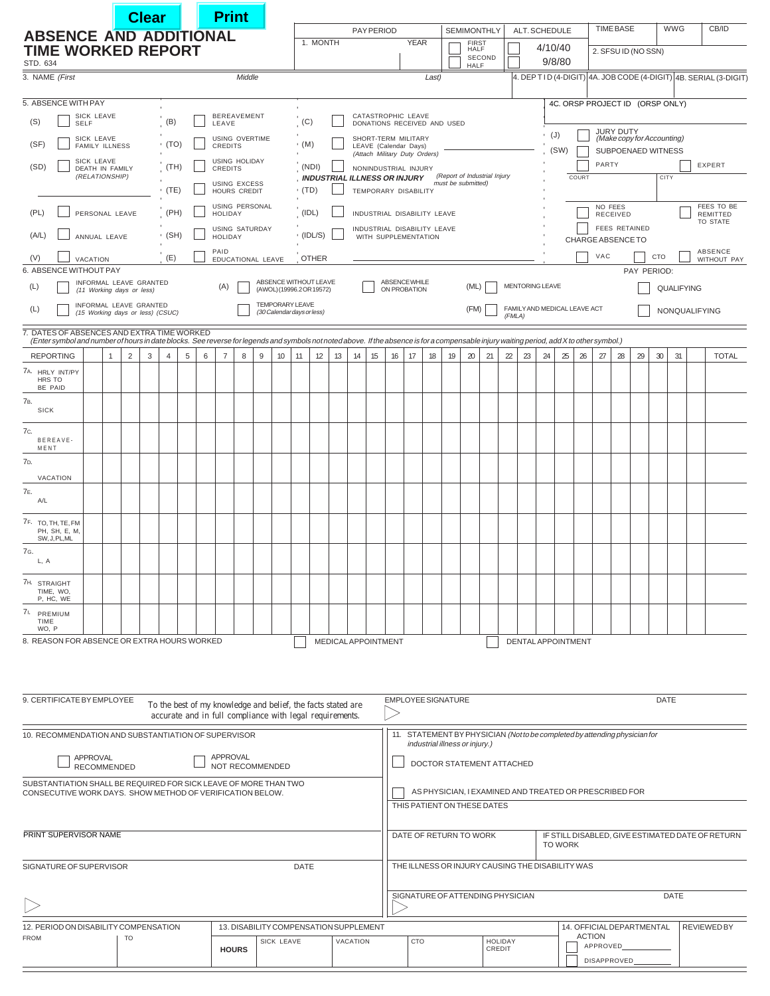|                                                                                                                                                                                                                                         |                                                                                                                               |   | <b>Clear</b> |        |              |                                 | <b>Print</b>                            |        |          |    |                                                |                                        |     |    |                                                                                       |                                                                                                              |                                                                                              |       |                                        |    |                                                |    |                                                  |                                                |                                              |                     |                 |                                           |    |     |                                    |  |                                                                    |
|-----------------------------------------------------------------------------------------------------------------------------------------------------------------------------------------------------------------------------------------|-------------------------------------------------------------------------------------------------------------------------------|---|--------------|--------|--------------|---------------------------------|-----------------------------------------|--------|----------|----|------------------------------------------------|----------------------------------------|-----|----|---------------------------------------------------------------------------------------|--------------------------------------------------------------------------------------------------------------|----------------------------------------------------------------------------------------------|-------|----------------------------------------|----|------------------------------------------------|----|--------------------------------------------------|------------------------------------------------|----------------------------------------------|---------------------|-----------------|-------------------------------------------|----|-----|------------------------------------|--|--------------------------------------------------------------------|
| <b>ABSENCE AND ADDITIONAL</b>                                                                                                                                                                                                           |                                                                                                                               |   |              |        |              |                                 |                                         |        |          |    |                                                | 1. MONTH                               |     |    | <b>PAY PERIOD</b>                                                                     |                                                                                                              | <b>YEAR</b>                                                                                  |       |                                        |    | SEMIMONTHLY                                    |    | ALT. SCHEDULE                                    |                                                |                                              |                     |                 | <b>TIME BASE</b>                          |    |     | <b>WWG</b>                         |  | CB/ID                                                              |
| <b>TIME WORKED REPORT</b><br>STD. 634                                                                                                                                                                                                   |                                                                                                                               |   |              |        |              |                                 |                                         |        |          |    |                                                |                                        |     |    |                                                                                       |                                                                                                              |                                                                                              |       | FIRST<br>HALF<br>SECOND<br><b>HALF</b> |    |                                                |    | 4/10/40<br>9/8/80                                |                                                |                                              | 2. SFSU ID (NO SSN) |                 |                                           |    |     |                                    |  |                                                                    |
| 3. NAME (First                                                                                                                                                                                                                          |                                                                                                                               |   |              |        |              |                                 |                                         | Middle |          |    |                                                |                                        |     |    |                                                                                       |                                                                                                              |                                                                                              | Last) |                                        |    |                                                |    |                                                  |                                                |                                              |                     |                 |                                           |    |     |                                    |  | 4. DEP T I D (4-DIGIT) 4A. JOB CODE (4-DIGIT) 4B. SERIAL (3-DIGIT) |
| 5. ABSENCE WITH PAY                                                                                                                                                                                                                     |                                                                                                                               |   |              |        |              |                                 |                                         |        |          |    |                                                |                                        |     |    |                                                                                       |                                                                                                              |                                                                                              |       |                                        |    |                                                |    |                                                  |                                                |                                              |                     |                 | 4C. ORSP PROJECT ID (ORSP ONLY)           |    |     |                                    |  |                                                                    |
| <b>SICK LEAVE</b><br>(B)<br>(S)<br><b>SELF</b>                                                                                                                                                                                          |                                                                                                                               |   |              |        |              | <b>BEREAVEMENT</b><br>LEAVE     |                                         |        |          |    |                                                | (C)                                    |     |    |                                                                                       |                                                                                                              | CATASTROPHIC LEAVE<br>DONATIONS RECEIVED AND USED                                            |       |                                        |    |                                                |    |                                                  |                                                |                                              |                     |                 |                                           |    |     |                                    |  |                                                                    |
| SICK LEAVE<br>(SF)<br>$\cdot$ (TO)<br><b>FAMILY ILLNESS</b>                                                                                                                                                                             |                                                                                                                               |   |              |        |              | USING OVERTIME<br>CREDITS       |                                         |        |          |    |                                                | $\cdot$ (M)                            |     |    |                                                                                       | SHORT-TERM MILITARY<br>LEAVE (Calendar Days)                                                                 |                                                                                              |       |                                        |    |                                                |    |                                                  | JURY DUTY<br>(Make copy for Accounting)<br>(J) |                                              |                     |                 |                                           |    |     |                                    |  |                                                                    |
| SICK LEAVE<br>(SD)<br>(TH)                                                                                                                                                                                                              |                                                                                                                               |   |              |        |              | <b>USING HOLIDAY</b><br>CREDITS |                                         |        |          |    |                                                | (NDI)                                  |     |    |                                                                                       | (Attach Military Duty Orders)<br>NONINDUSTRIAL INJURY                                                        |                                                                                              |       |                                        |    |                                                |    |                                                  | (SW)                                           | SUBPOENAED WITNESS<br>PARTY<br><b>EXPERT</b> |                     |                 |                                           |    |     |                                    |  |                                                                    |
| <b>DEATH IN FAMILY</b><br>(RELATIONSHIP)                                                                                                                                                                                                |                                                                                                                               |   |              |        |              |                                 | <b>USING EXCESS</b>                     |        |          |    | , INDUSTRIAL ILLNESS OR INJURY<br>$\cdot$ (TD) |                                        |     |    |                                                                                       |                                                                                                              | (Report of Industrial Injury<br>must be submitted)                                           |       |                                        |    |                                                |    |                                                  |                                                |                                              | COURT               |                 |                                           |    |     | CITY                               |  |                                                                    |
|                                                                                                                                                                                                                                         |                                                                                                                               |   |              |        | · (TE)       |                                 | <b>HOURS CREDIT</b><br>USING PERSONAL   |        |          |    |                                                |                                        |     |    |                                                                                       |                                                                                                              | TEMPORARY DISABILITY                                                                         |       |                                        |    |                                                |    |                                                  |                                                |                                              |                     | NO FEES         |                                           |    |     | FEES TO BE                         |  |                                                                    |
| (PL)<br>PERSONAL LEAVE                                                                                                                                                                                                                  |                                                                                                                               |   |              | (PH)   |              |                                 | <b>HOLIDAY</b>                          |        |          |    | (IDL)                                          |                                        |     |    |                                                                                       |                                                                                                              | INDUSTRIAL DISABILITY LEAVE                                                                  |       |                                        |    |                                                |    |                                                  |                                                |                                              |                     | <b>RECEIVED</b> |                                           |    |     | <b>REMITTED</b><br><b>TO STATE</b> |  |                                                                    |
| (A/L)<br>ANNUAL LEAVE                                                                                                                                                                                                                   |                                                                                                                               |   |              | • (SH) |              |                                 | <b>USING SATURDAY</b><br><b>HOLIDAY</b> |        |          |    | $\cdot$ (IDL/S)                                |                                        |     |    |                                                                                       |                                                                                                              | INDUSTRIAL DISABILITY LEAVE<br>WITH SUPPLEMENTATION                                          |       |                                        |    |                                                |    |                                                  |                                                |                                              |                     |                 | <b>FEES RETAINED</b><br>CHARGE ABSENCE TO |    |     |                                    |  |                                                                    |
| (V)<br>VACATION                                                                                                                                                                                                                         |                                                                                                                               |   |              |        | (E)          |                                 | PAID<br>EDUCATIONAL LEAVE               |        |          |    |                                                | <b>OTHER</b>                           |     |    |                                                                                       |                                                                                                              |                                                                                              |       |                                        |    |                                                |    |                                                  |                                                |                                              |                     | VAC             |                                           |    | CTO | ABSENCE<br>WITHOUT PAY             |  |                                                                    |
| 6. ABSENCE WITHOUT PAY<br>INFORMAL LEAVE GRANTED                                                                                                                                                                                        |                                                                                                                               |   |              |        |              |                                 |                                         |        |          |    | ABSENCE WITHOUT LEAVE                          |                                        |     |    |                                                                                       |                                                                                                              | ABSENCE WHILE                                                                                |       |                                        |    | <b>MENTORING LEAVE</b>                         |    |                                                  |                                                |                                              |                     | PAY PERIOD:     |                                           |    |     |                                    |  |                                                                    |
| (L)<br>(11 Working days or less)                                                                                                                                                                                                        |                                                                                                                               |   |              |        |              | (A)<br><b>TEMPORARY LEAVE</b>   |                                         |        |          |    |                                                | (AWOL) (19996.2 OR 19572)              |     |    |                                                                                       |                                                                                                              | ON PROBATION                                                                                 |       |                                        |    | (ML)                                           |    |                                                  |                                                |                                              |                     |                 |                                           |    |     | QUALIFYING                         |  |                                                                    |
| INFORMAL LEAVE GRANTED<br>(L)<br>(15 Working days or less) (CSUC)                                                                                                                                                                       |                                                                                                                               |   |              |        |              |                                 |                                         |        |          |    |                                                | (30 Calendar days or less)             |     |    |                                                                                       |                                                                                                              |                                                                                              |       |                                        |    | (FM)<br>FAMILY AND MEDICAL LEAVE ACT<br>(FMLA) |    |                                                  |                                                |                                              |                     |                 |                                           |    |     | NONQUALIFYING                      |  |                                                                    |
| 7. DATES OF ABSENCES AND EXTRA TIME WORKED<br>(Enter symbol and number of hours in date blocks. See reverse for legends and symbols not noted above. If the absence is for a compensable injury waiting period, add X to other symbol.) |                                                                                                                               |   |              |        |              |                                 |                                         |        |          |    |                                                |                                        |     |    |                                                                                       |                                                                                                              |                                                                                              |       |                                        |    |                                                |    |                                                  |                                                |                                              |                     |                 |                                           |    |     |                                    |  |                                                                    |
| <b>REPORTING</b>                                                                                                                                                                                                                        | 1                                                                                                                             | 2 | 3            | 4      | 5            | 6                               | $\overline{7}$                          | 8      | 9        | 10 | 11                                             | 12                                     | 13  | 14 | 15                                                                                    | 16                                                                                                           | 17                                                                                           | 18    | 19                                     | 20 | 21                                             | 22 | 23                                               | 24                                             | 25                                           | 26                  | 27              | 28                                        | 29 | 30  | 31                                 |  | <b>TOTAL</b>                                                       |
| 7A. HRLY INT/PY<br>HRS TO<br>BE PAID                                                                                                                                                                                                    |                                                                                                                               |   |              |        |              |                                 |                                         |        |          |    |                                                |                                        |     |    |                                                                                       |                                                                                                              |                                                                                              |       |                                        |    |                                                |    |                                                  |                                                |                                              |                     |                 |                                           |    |     |                                    |  |                                                                    |
| 7в.<br><b>SICK</b>                                                                                                                                                                                                                      |                                                                                                                               |   |              |        |              |                                 |                                         |        |          |    |                                                |                                        |     |    |                                                                                       |                                                                                                              |                                                                                              |       |                                        |    |                                                |    |                                                  |                                                |                                              |                     |                 |                                           |    |     |                                    |  |                                                                    |
| 7с.<br>BEREAVE-                                                                                                                                                                                                                         |                                                                                                                               |   |              |        |              |                                 |                                         |        |          |    |                                                |                                        |     |    |                                                                                       |                                                                                                              |                                                                                              |       |                                        |    |                                                |    |                                                  |                                                |                                              |                     |                 |                                           |    |     |                                    |  |                                                                    |
| MENT<br>7 <sub>D</sub>                                                                                                                                                                                                                  |                                                                                                                               |   |              |        |              |                                 |                                         |        |          |    |                                                |                                        |     |    |                                                                                       |                                                                                                              |                                                                                              |       |                                        |    |                                                |    |                                                  |                                                |                                              |                     |                 |                                           |    |     |                                    |  |                                                                    |
| VACATION                                                                                                                                                                                                                                |                                                                                                                               |   |              |        |              |                                 |                                         |        |          |    |                                                |                                        |     |    |                                                                                       |                                                                                                              |                                                                                              |       |                                        |    |                                                |    |                                                  |                                                |                                              |                     |                 |                                           |    |     |                                    |  |                                                                    |
| 7E.<br>A/L                                                                                                                                                                                                                              |                                                                                                                               |   |              |        |              |                                 |                                         |        |          |    |                                                |                                        |     |    |                                                                                       |                                                                                                              |                                                                                              |       |                                        |    |                                                |    |                                                  |                                                |                                              |                     |                 |                                           |    |     |                                    |  |                                                                    |
| 7F. TO, TH, TE, FM<br>PH, SH, E, M,<br>SW, J, PL, ML                                                                                                                                                                                    |                                                                                                                               |   |              |        |              |                                 |                                         |        |          |    |                                                |                                        |     |    |                                                                                       |                                                                                                              |                                                                                              |       |                                        |    |                                                |    |                                                  |                                                |                                              |                     |                 |                                           |    |     |                                    |  |                                                                    |
| 7G.<br>L, A                                                                                                                                                                                                                             |                                                                                                                               |   |              |        |              |                                 |                                         |        |          |    |                                                |                                        |     |    |                                                                                       |                                                                                                              |                                                                                              |       |                                        |    |                                                |    |                                                  |                                                |                                              |                     |                 |                                           |    |     |                                    |  |                                                                    |
| 7H. STRAIGHT<br>TIME, WO,<br>P, HC, WE                                                                                                                                                                                                  |                                                                                                                               |   |              |        |              |                                 |                                         |        |          |    |                                                |                                        |     |    |                                                                                       |                                                                                                              |                                                                                              |       |                                        |    |                                                |    |                                                  |                                                |                                              |                     |                 |                                           |    |     |                                    |  |                                                                    |
| 71. PREMIUM<br>TIME                                                                                                                                                                                                                     |                                                                                                                               |   |              |        |              |                                 |                                         |        |          |    |                                                |                                        |     |    |                                                                                       |                                                                                                              |                                                                                              |       |                                        |    |                                                |    |                                                  |                                                |                                              |                     |                 |                                           |    |     |                                    |  |                                                                    |
| WO, P<br>8. REASON FOR ABSENCE OR EXTRA HOURS WORKED                                                                                                                                                                                    |                                                                                                                               |   |              |        |              |                                 |                                         |        |          |    |                                                |                                        |     |    |                                                                                       | <b>MEDICAL APPOINTMENT</b>                                                                                   |                                                                                              |       |                                        |    |                                                |    | <b>DENTAL APPOINTMENT</b>                        |                                                |                                              |                     |                 |                                           |    |     |                                    |  |                                                                    |
| 9. CERTIFICATE BY EMPLOYEE<br>To the best of my knowledge and belief, the facts stated are                                                                                                                                              |                                                                                                                               |   |              |        |              |                                 |                                         |        |          |    |                                                |                                        |     |    | <b>EMPLOYEE SIGNATURE</b><br>DATE                                                     |                                                                                                              |                                                                                              |       |                                        |    |                                                |    |                                                  |                                                |                                              |                     |                 |                                           |    |     |                                    |  |                                                                    |
| accurate and in full compliance with legal requirements.<br>10. RECOMMENDATION AND SUBSTANTIATION OF SUPERVISOR                                                                                                                         |                                                                                                                               |   |              |        |              |                                 |                                         |        |          |    |                                                |                                        |     |    |                                                                                       |                                                                                                              |                                                                                              |       |                                        |    |                                                |    |                                                  |                                                |                                              |                     |                 |                                           |    |     |                                    |  |                                                                    |
|                                                                                                                                                                                                                                         | APPROVAL                                                                                                                      |   |              |        |              |                                 | APPROVAL                                |        |          |    |                                                |                                        |     |    |                                                                                       | 11. STATEMENT BY PHYSICIAN (Not to be completed by attending physician for<br>industrial illness or injury.) |                                                                                              |       |                                        |    |                                                |    |                                                  |                                                |                                              |                     |                 |                                           |    |     |                                    |  |                                                                    |
|                                                                                                                                                                                                                                         | RECOMMENDED                                                                                                                   |   |              |        |              |                                 | NOT RECOMMENDED                         |        |          |    |                                                |                                        |     |    |                                                                                       | DOCTOR STATEMENT ATTACHED                                                                                    |                                                                                              |       |                                        |    |                                                |    |                                                  |                                                |                                              |                     |                 |                                           |    |     |                                    |  |                                                                    |
|                                                                                                                                                                                                                                         | SUBSTANTIATION SHALL BE REQUIRED FOR SICK LEAVE OF MORE THAN TWO<br>CONSECUTIVE WORK DAYS. SHOW METHOD OF VERIFICATION BELOW. |   |              |        |              |                                 |                                         |        |          |    |                                                |                                        |     |    | AS PHYSICIAN, I EXAMINED AND TREATED OR PRESCRIBED FOR<br>THIS PATIENT ON THESE DATES |                                                                                                              |                                                                                              |       |                                        |    |                                                |    |                                                  |                                                |                                              |                     |                 |                                           |    |     |                                    |  |                                                                    |
| PRINT SUPERVISOR NAME                                                                                                                                                                                                                   |                                                                                                                               |   |              |        |              |                                 |                                         |        |          |    |                                                |                                        |     |    |                                                                                       |                                                                                                              | DATE OF RETURN TO WORK<br>IF STILL DISABLED, GIVE ESTIMATED DATE OF RETURN<br><b>TO WORK</b> |       |                                        |    |                                                |    |                                                  |                                                |                                              |                     |                 |                                           |    |     |                                    |  |                                                                    |
| SIGNATURE OF SUPERVISOR                                                                                                                                                                                                                 |                                                                                                                               |   |              |        |              |                                 |                                         |        |          |    | DATE                                           |                                        |     |    |                                                                                       |                                                                                                              |                                                                                              |       |                                        |    |                                                |    | THE ILLNESS OR INJURY CAUSING THE DISABILITY WAS |                                                |                                              |                     |                 |                                           |    |     |                                    |  |                                                                    |
|                                                                                                                                                                                                                                         |                                                                                                                               |   |              |        |              |                                 |                                         |        |          |    |                                                |                                        |     |    |                                                                                       |                                                                                                              | SIGNATURE OF ATTENDING PHYSICIAN<br>DATE                                                     |       |                                        |    |                                                |    |                                                  |                                                |                                              |                     |                 |                                           |    |     |                                    |  |                                                                    |
| 12. PERIOD ON DISABILITY COMPENSATION                                                                                                                                                                                                   |                                                                                                                               |   |              |        |              |                                 |                                         |        |          |    |                                                | 13. DISABILITY COMPENSATION SUPPLEMENT |     |    |                                                                                       |                                                                                                              |                                                                                              |       |                                        |    |                                                |    |                                                  |                                                |                                              |                     |                 | 14. OFFICIAL DEPARTMENTAL                 |    |     |                                    |  | <b>REVIEWEDBY</b>                                                  |
| <b>FROM</b>                                                                                                                                                                                                                             |                                                                                                                               |   |              |        | <b>HOURS</b> |                                 | SICK LEAVE                              |        | VACATION |    |                                                |                                        | CTO |    |                                                                                       | HOLIDAY<br>CREDIT                                                                                            |                                                                                              |       |                                        |    |                                                |    | <b>ACTION</b><br>APPROVED_<br>DISAPPROVED        |                                                |                                              |                     |                 |                                           |    |     |                                    |  |                                                                    |
|                                                                                                                                                                                                                                         |                                                                                                                               |   |              |        |              |                                 |                                         |        |          |    |                                                |                                        |     |    |                                                                                       |                                                                                                              |                                                                                              |       |                                        |    |                                                |    |                                                  |                                                |                                              |                     |                 |                                           |    |     |                                    |  |                                                                    |